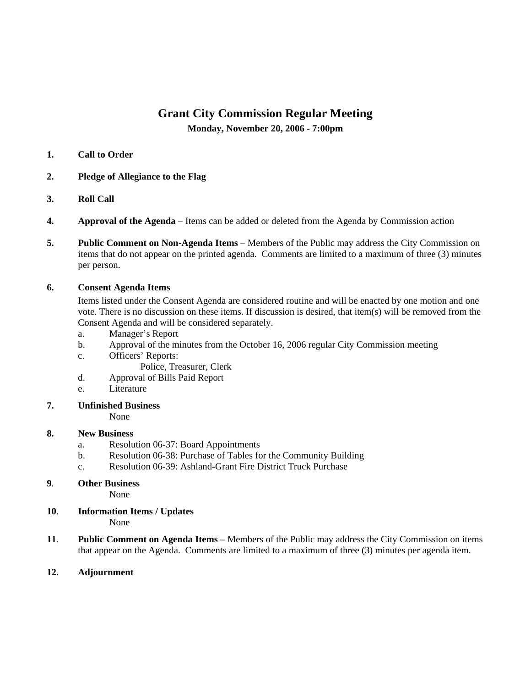# **Grant City Commission Regular Meeting**

**Monday, November 20, 2006 - 7:00pm** 

### **1. Call to Order**

- **2. Pledge of Allegiance to the Flag**
- **3. Roll Call**
- **4. Approval of the Agenda** Items can be added or deleted from the Agenda by Commission action
- **5. Public Comment on Non-Agenda Items** Members of the Public may address the City Commission on items that do not appear on the printed agenda. Comments are limited to a maximum of three (3) minutes per person.

### **6. Consent Agenda Items**

Items listed under the Consent Agenda are considered routine and will be enacted by one motion and one vote. There is no discussion on these items. If discussion is desired, that item(s) will be removed from the Consent Agenda and will be considered separately.

- a. Manager's Report
- b. Approval of the minutes from the October 16, 2006 regular City Commission meeting
- c. Officers' Reports:

Police, Treasurer, Clerk

- d. Approval of Bills Paid Report
- e. Literature
- **7. Unfinished Business**

None

## **8. New Business**

- a. Resolution 06-37: Board Appointments
- b. Resolution 06-38: Purchase of Tables for the Community Building
- c. Resolution 06-39: Ashland-Grant Fire District Truck Purchase
- **9**. **Other Business**

None

- **10**. **Information Items / Updates**  None
- **11**. **Public Comment on Agenda Items** Members of the Public may address the City Commission on items that appear on the Agenda. Comments are limited to a maximum of three (3) minutes per agenda item.
- **12. Adjournment**